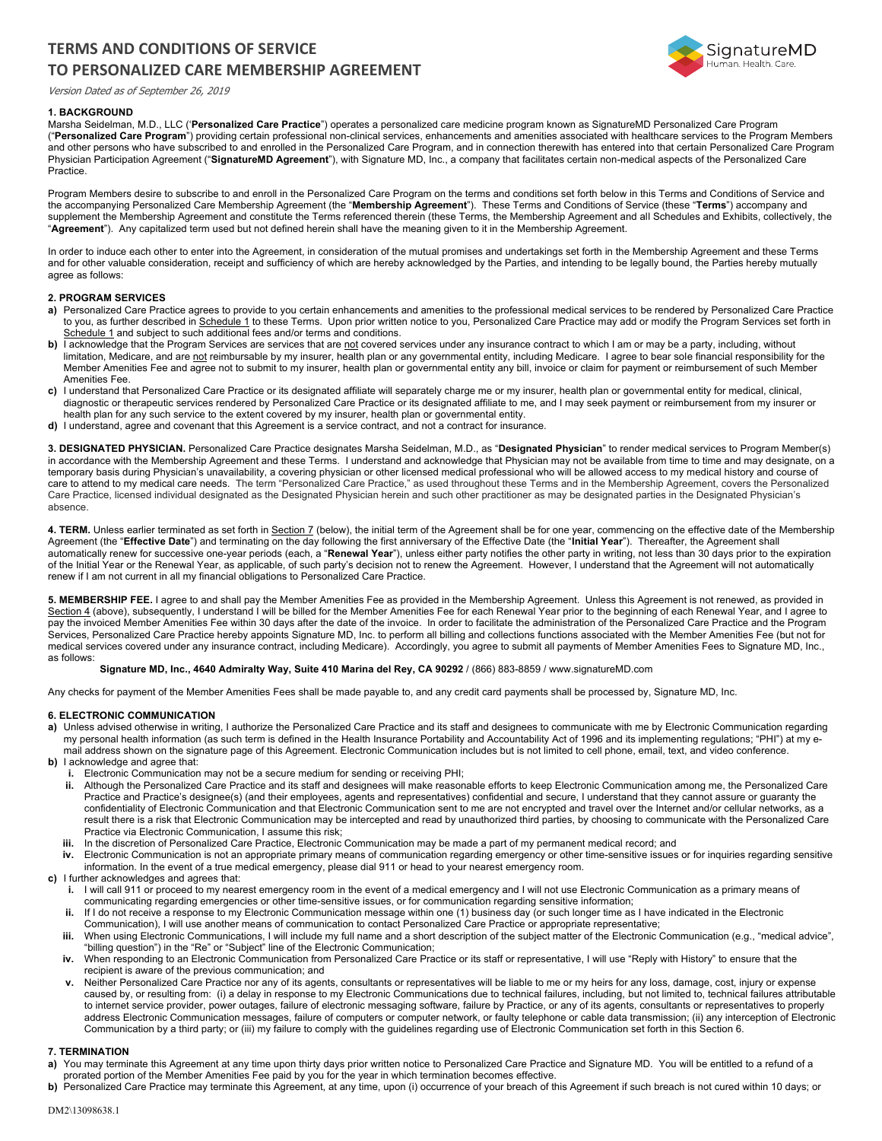# **TERMS AND CONDITIONS OF SERVICE TO PERSONALIZED CARE MEMBERSHIP AGREEMENT**



Version Dated as of September 26, 2019

## **1. BACKGROUND**

Marsha Seidelman, M.D., LLC ('**Personalized Care Practice**") operates a personalized care medicine program known as SignatureMD Personalized Care Program ("**Personalized Care Program**") providing certain professional non-clinical services, enhancements and amenities associated with healthcare services to the Program Members and other persons who have subscribed to and enrolled in the Personalized Care Program, and in connection therewith has entered into that certain Personalized Care Program Physician Participation Agreement ("**SignatureMD Agreement**"), with Signature MD, Inc., a company that facilitates certain non-medical aspects of the Personalized Care Practice.

Program Members desire to subscribe to and enroll in the Personalized Care Program on the terms and conditions set forth below in this Terms and Conditions of Service and the accompanying Personalized Care Membership Agreement (the "**Membership Agreement**"). These Terms and Conditions of Service (these "**Terms**") accompany and supplement the Membership Agreement and constitute the Terms referenced therein (these Terms, the Membership Agreement and all Schedules and Exhibits, collectively, the "**Agreement**"). Any capitalized term used but not defined herein shall have the meaning given to it in the Membership Agreement.

In order to induce each other to enter into the Agreement, in consideration of the mutual promises and undertakings set forth in the Membership Agreement and these Terms and for other valuable consideration, receipt and sufficiency of which are hereby acknowledged by the Parties, and intending to be legally bound, the Parties hereby mutually agree as follows:

### **2. PROGRAM SERVICES**

- a) Personalized Care Practice agrees to provide to you certain enhancements and amenities to the professional medical services to be rendered by Personalized Care Practice to you, as further described in Schedule 1 to these Terms. Upon prior written notice to you, Personalized Care Practice may add or modify the Program Services set forth in Schedule 1 and subject to such additional fees and/or terms and conditions.
- **b)** I acknowledge that the Program Services are services that are not covered services under any insurance contract to which I am or may be a party, including, without limitation, Medicare, and are not reimbursable by my insurer, health plan or any governmental entity, including Medicare. I agree to bear sole financial responsibility for the Member Amenities Fee and agree not to submit to my insurer, health plan or governmental entity any bill, invoice or claim for payment or reimbursement of such Member Amenities Fee.
- **c)** I understand that Personalized Care Practice or its designated affiliate will separately charge me or my insurer, health plan or governmental entity for medical, clinical, diagnostic or therapeutic services rendered by Personalized Care Practice or its designated affiliate to me, and I may seek payment or reimbursement from my insurer or health plan for any such service to the extent covered by my insurer, health plan or governmental entity.
- **d)** I understand, agree and covenant that this Agreement is a service contract, and not a contract for insurance.

**3. DESIGNATED PHYSICIAN.** Personalized Care Practice designates Marsha Seidelman, M.D., as "**Designated Physician**" to render medical services to Program Member(s) in accordance with the Membership Agreement and these Terms. I understand and acknowledge that Physician may not be available from time to time and may designate, on a temporary basis during Physician's unavailability, a covering physician or other licensed medical professional who will be allowed access to my medical history and course of care to attend to my medical care needs. The term "Personalized Care Practice," as used throughout these Terms and in the Membership Agreement, covers the Personalized Care Practice, licensed individual designated as the Designated Physician herein and such other practitioner as may be designated parties in the Designated Physician's absence.

4. TERM. Unless earlier terminated as set forth in Section 7 (below), the initial term of the Agreement shall be for one year, commencing on the effective date of the Membership Agreement (the "**Effective Date**") and terminating on the day following the first anniversary of the Effective Date (the "**Initial Year**"). Thereafter, the Agreement shall automatically renew for successive one-year periods (each, a "**Renewal Year**"), unless either party notifies the other party in writing, not less than 30 days prior to the expiration of the Initial Year or the Renewal Year, as applicable, of such party's decision not to renew the Agreement. However, I understand that the Agreement will not automatically renew if I am not current in all my financial obligations to Personalized Care Practice.

**5. MEMBERSHIP FEE.** I agree to and shall pay the Member Amenities Fee as provided in the Membership Agreement. Unless this Agreement is not renewed, as provided in Section 4 (above), subsequently, I understand I will be billed for the Member Amenities Fee for each Renewal Year prior to the beginning of each Renewal Year, and I agree to pay the invoiced Member Amenities Fee within 30 days after the date of the invoice. In order to facilitate the administration of the Personalized Care Practice and the Program Services, Personalized Care Practice hereby appoints Signature MD, Inc. to perform all billing and collections functions associated with the Member Amenities Fee (but not for medical services covered under any insurance contract, including Medicare). Accordingly, you agree to submit all payments of Member Amenities Fees to Signature MD, Inc., as follows:

#### **Signature MD, Inc., 4640 Admiralty Way, Suite 410 Marina del Rey, CA 90292** / (866) 883-8859 / www.signatureMD.com

Any checks for payment of the Member Amenities Fees shall be made payable to, and any credit card payments shall be processed by, Signature MD, Inc.

#### **6. ELECTRONIC COMMUNICATION**

- a) Unless advised otherwise in writing, I authorize the Personalized Care Practice and its staff and designees to communicate with me by Electronic Communication regarding my personal health information (as such term is defined in the Health Insurance Portability and Accountability Act of 1996 and its implementing regulations; "PHI") at my email address shown on the signature page of this Agreement. Electronic Communication includes but is not limited to cell phone, email, text, and video conference.
- **b)** I acknowledge and agree that:
	- **i.** Electronic Communication may not be a secure medium for sending or receiving PHI;
	- **ii.** Although the Personalized Care Practice and its staff and designees will make reasonable efforts to keep Electronic Communication among me, the Personalized Care Practice and Practice's designee(s) (and their employees, agents and representatives) confidential and secure, I understand that they cannot assure or guaranty the confidentiality of Electronic Communication and that Electronic Communication sent to me are not encrypted and travel over the Internet and/or cellular networks, as a result there is a risk that Electronic Communication may be intercepted and read by unauthorized third parties, by choosing to communicate with the Personalized Care Practice via Electronic Communication, I assume this risk;
	- **iii.** In the discretion of Personalized Care Practice, Electronic Communication may be made a part of my permanent medical record; and
	- **iv.** Electronic Communication is not an appropriate primary means of communication regarding emergency or other time-sensitive issues or for inquiries regarding sensitive information. In the event of a true medical emergency, please dial 911 or head to your nearest emergency room.

#### **c)** I further acknowledges and agrees that:

- **i.** I will call 911 or proceed to my nearest emergency room in the event of a medical emergency and I will not use Electronic Communication as a primary means of communicating regarding emergencies or other time-sensitive issues, or for communication regarding sensitive information;
- If I do not receive a response to my Electronic Communication message within one (1) business day (or such longer time as I have indicated in the Electronic Communication), I will use another means of communication to contact Personalized Care Practice or appropriate representative;
- iii. When using Electronic Communications, I will include my full name and a short description of the subject matter of the Electronic Communication (e.g., "medical advice", "billing question") in the "Re" or "Subject" line of the Electronic Communication;
- **iv.** When responding to an Electronic Communication from Personalized Care Practice or its staff or representative, I will use "Reply with History" to ensure that the recipient is aware of the previous communication; and
- v. Neither Personalized Care Practice nor any of its agents, consultants or representatives will be liable to me or my heirs for any loss, damage, cost, injury or expense<br>caused by, or resulting from: (i) a delay in respon to internet service provider, power outages, failure of electronic messaging software, failure by Practice, or any of its agents, consultants or representatives to properly address Electronic Communication messages, failure of computers or computer network, or faulty telephone or cable data transmission; (ii) any interception of Electronic Communication by a third party; or (iii) my failure to comply with the guidelines regarding use of Electronic Communication set forth in this Section 6.

## **7. TERMINATION**

- a) You may terminate this Agreement at any time upon thirty days prior written notice to Personalized Care Practice and Signature MD. You will be entitled to a refund of a prorated portion of the Member Amenities Fee paid by you for the year in which termination becomes effective.
- **b)** Personalized Care Practice may terminate this Agreement, at any time, upon (i) occurrence of your breach of this Agreement if such breach is not cured within 10 days; or